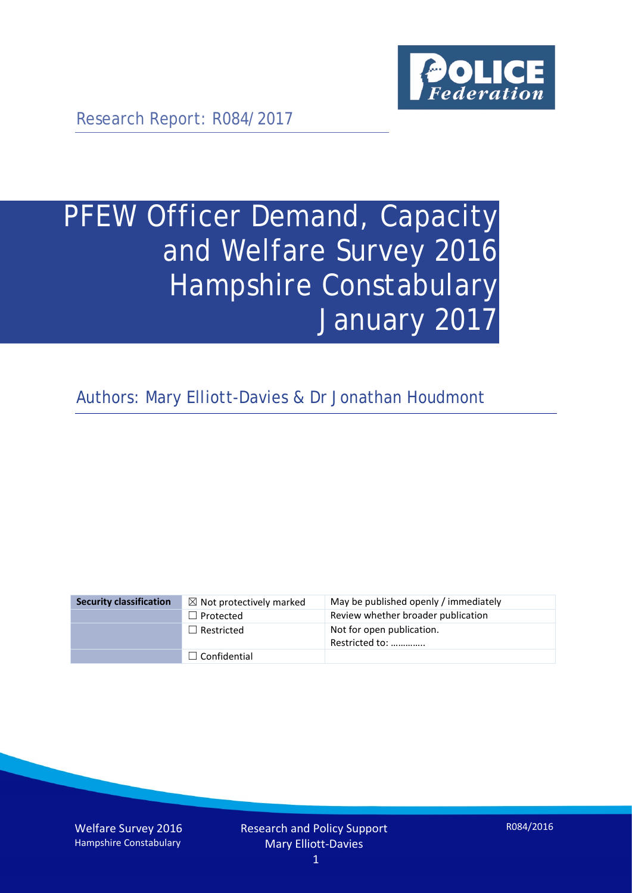

Research Report: R084/2017

# PFEW Officer Demand, Capacity and Welfare Survey 2016 Hampshire Constabulary January 2017

Authors: Mary Elliott-Davies & Dr Jonathan Houdmont

| <b>Security classification</b> | $\boxtimes$ Not protectively marked | May be published openly / immediately       |
|--------------------------------|-------------------------------------|---------------------------------------------|
|                                | $\Box$ Protected                    | Review whether broader publication          |
|                                | $\Box$ Restricted                   | Not for open publication.<br>Restricted to: |
|                                | $\Box$ Confidential                 |                                             |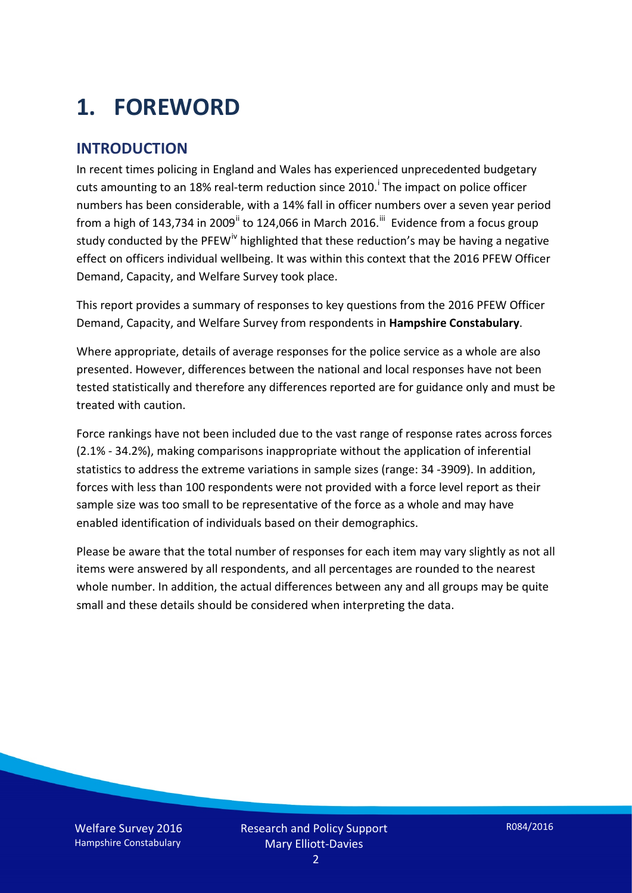# **1. FOREWORD**

#### **INTRODUCTION**

In recent times policing in England and Wales has experienced unprecedented budgetary cuts amount[i](#page-15-0)ng to an 18% real-term reduction since 2010.<sup>1</sup> The impact on police officer numbers has been considerable, with a 14% fall in officer numbers over a seven year period from a high of 143,734 in 2009<sup>[ii](#page-15-1)</sup> to 124,066 in March 2016.<sup>[iii](#page-15-2)</sup> Evidence from a focus group study conducted by the PFEW<sup>[iv](#page-15-3)</sup> highlighted that these reduction's may be having a negative effect on officers individual wellbeing. It was within this context that the 2016 PFEW Officer Demand, Capacity, and Welfare Survey took place.

This report provides a summary of responses to key questions from the 2016 PFEW Officer Demand, Capacity, and Welfare Survey from respondents in **Hampshire Constabulary**.

Where appropriate, details of average responses for the police service as a whole are also presented. However, differences between the national and local responses have not been tested statistically and therefore any differences reported are for guidance only and must be treated with caution.

Force rankings have not been included due to the vast range of response rates across forces (2.1% - 34.2%), making comparisons inappropriate without the application of inferential statistics to address the extreme variations in sample sizes (range: 34 -3909). In addition, forces with less than 100 respondents were not provided with a force level report as their sample size was too small to be representative of the force as a whole and may have enabled identification of individuals based on their demographics.

Please be aware that the total number of responses for each item may vary slightly as not all items were answered by all respondents, and all percentages are rounded to the nearest whole number. In addition, the actual differences between any and all groups may be quite small and these details should be considered when interpreting the data.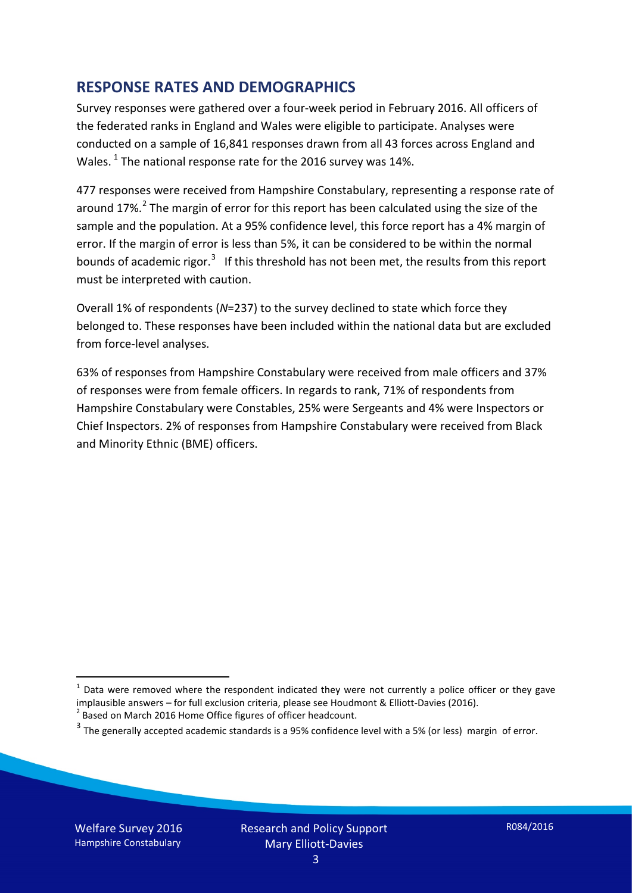#### **RESPONSE RATES AND DEMOGRAPHICS**

Survey responses were gathered over a four-week period in February 2016. All officers of the federated ranks in England and Wales were eligible to participate. Analyses were conducted on a sample of 16,841 responses drawn from all 43 forces across England and Wales.  $^1$  $^1$  The national response rate for the 2016 survey was 14%.

477 responses were received from Hampshire Constabulary, representing a response rate of around 17%.<sup>[2](#page-2-1)</sup> The margin of error for this report has been calculated using the size of the sample and the population. At a 95% confidence level, this force report has a 4% margin of error. If the margin of error is less than 5%, it can be considered to be within the normal bounds of academic rigor.<sup>[3](#page-2-2)</sup> If this threshold has not been met, the results from this report must be interpreted with caution.

Overall 1% of respondents (*N*=237) to the survey declined to state which force they belonged to. These responses have been included within the national data but are excluded from force-level analyses.

63% of responses from Hampshire Constabulary were received from male officers and 37% of responses were from female officers. In regards to rank, 71% of respondents from Hampshire Constabulary were Constables, 25% were Sergeants and 4% were Inspectors or Chief Inspectors. 2% of responses from Hampshire Constabulary were received from Black and Minority Ethnic (BME) officers.

<u>.</u>

<span id="page-2-0"></span> $1$  Data were removed where the respondent indicated they were not currently a police officer or they gave implausible answers – for full exclusion criteria, please see Houdmont & Elliott-Davies (2016).<br><sup>2</sup> Based on March 2016 Home Office figures of officer headcount.

<span id="page-2-1"></span>

<span id="page-2-2"></span> $3$  The generally accepted academic standards is a 95% confidence level with a 5% (or less) margin of error.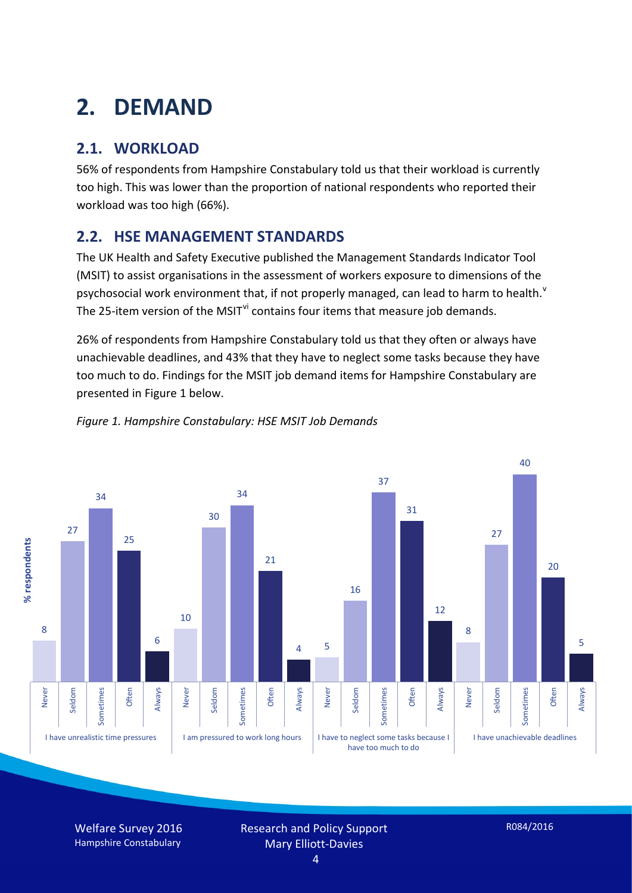# **2. DEMAND**

## **2.1. WORKLOAD**

56% of respondents from Hampshire Constabulary told us that their workload is currently too high. This was lower than the proportion of national respondents who reported their workload was too high (66%).

#### **2.2. HSE MANAGEMENT STANDARDS**

The UK Health and Safety Executive published the Management Standards Indicator Tool (MSIT) to assist organisations in the assessment of workers exposure to dimensions of the psychosocial work en[v](#page-15-4)ironment that, if not properly managed, can lead to harm to health.<sup>v</sup> The 25-item version of the MSIT<sup>[vi](#page-15-5)</sup> contains four items that measure job demands.

26% of respondents from Hampshire Constabulary told us that they often or always have unachievable deadlines, and 43% that they have to neglect some tasks because they have too much to do. Findings for the MSIT job demand items for Hampshire Constabulary are presented in Figure 1 below.



#### *Figure 1. Hampshire Constabulary: HSE MSIT Job Demands*

Welfare Survey 2016 Hampshire Constabulary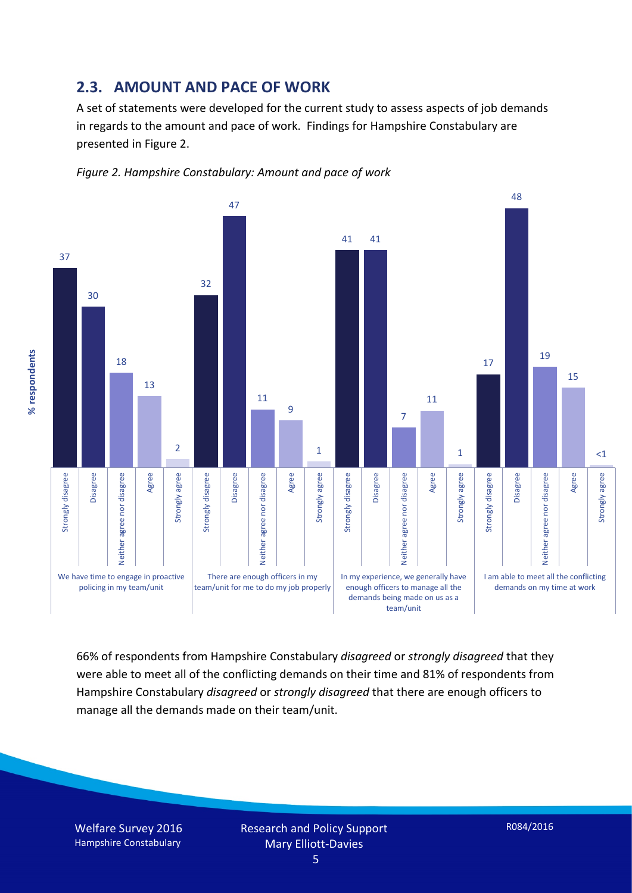#### **2.3. AMOUNT AND PACE OF WORK**

A set of statements were developed for the current study to assess aspects of job demands in regards to the amount and pace of work. Findings for Hampshire Constabulary are presented in Figure 2.





66% of respondents from Hampshire Constabulary *disagreed* or *strongly disagreed* that they were able to meet all of the conflicting demands on their time and 81% of respondents from Hampshire Constabulary *disagreed* or *strongly disagreed* that there are enough officers to manage all the demands made on their team/unit.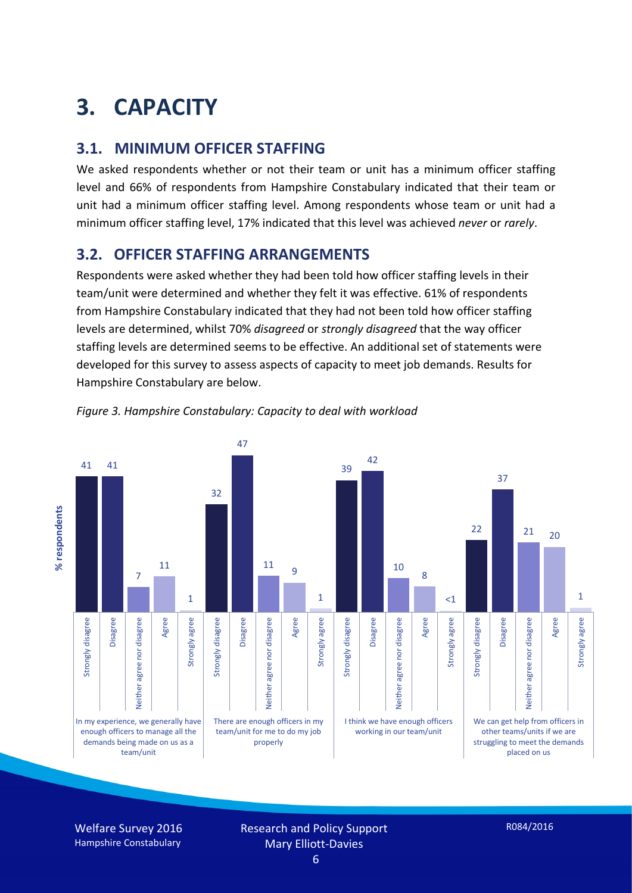# **3. CAPACITY**

#### **3.1. MINIMUM OFFICER STAFFING**

We asked respondents whether or not their team or unit has a minimum officer staffing level and 66% of respondents from Hampshire Constabulary indicated that their team or unit had a minimum officer staffing level. Among respondents whose team or unit had a minimum officer staffing level, 17% indicated that this level was achieved *never* or *rarely*.

#### **3.2. OFFICER STAFFING ARRANGEMENTS**

Respondents were asked whether they had been told how officer staffing levels in their team/unit were determined and whether they felt it was effective. 61% of respondents from Hampshire Constabulary indicated that they had not been told how officer staffing levels are determined, whilst 70% *disagreed* or *strongly disagreed* that the way officer staffing levels are determined seems to be effective. An additional set of statements were developed for this survey to assess aspects of capacity to meet job demands. Results for Hampshire Constabulary are below.



*Figure 3. Hampshire Constabulary: Capacity to deal with workload*

Welfare Survey 2016 Hampshire Constabulary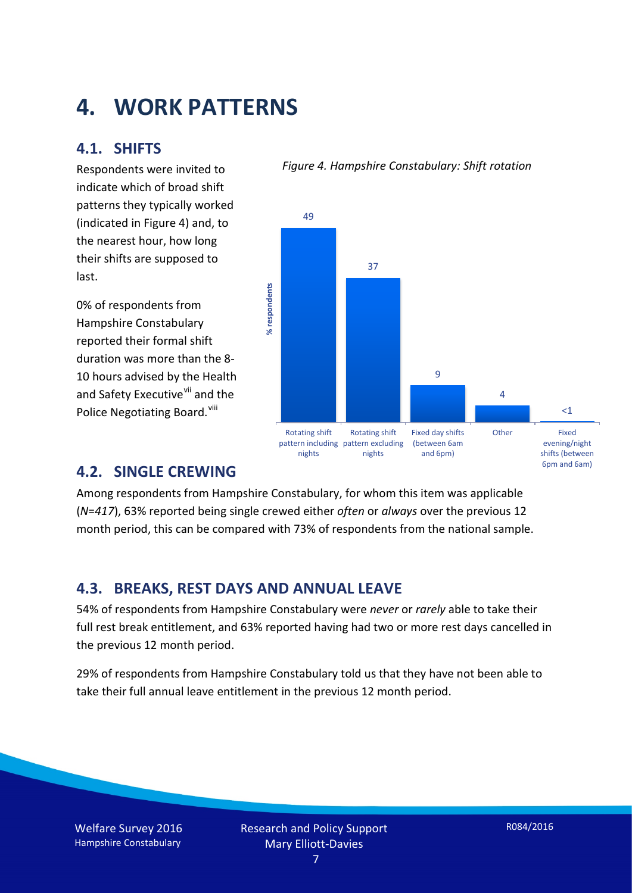## **4. WORK PATTERNS**

#### **4.1. SHIFTS**

Respondents were invited to indicate which of broad shift patterns they typically worked (indicated in Figure 4) and, to the nearest hour, how long their shifts are supposed to last.

0% of respondents from Hampshire Constabulary reported their formal shift duration was more than the 8- 10 hours advised by the Health and Safety Executive<sup>[vii](#page-15-6)</sup> and the Police Negotiating Board.<sup>[viii](#page-15-7)</sup>

#### *Figure 4. Hampshire Constabulary: Shift rotation*



#### **4.2. SINGLE CREWING**

Among respondents from Hampshire Constabulary, for whom this item was applicable (*N*=*417*), 63% reported being single crewed either *often* or *always* over the previous 12 month period, this can be compared with 73% of respondents from the national sample.

#### **4.3. BREAKS, REST DAYS AND ANNUAL LEAVE**

54% of respondents from Hampshire Constabulary were *never* or *rarely* able to take their full rest break entitlement, and 63% reported having had two or more rest days cancelled in the previous 12 month period.

29% of respondents from Hampshire Constabulary told us that they have not been able to take their full annual leave entitlement in the previous 12 month period.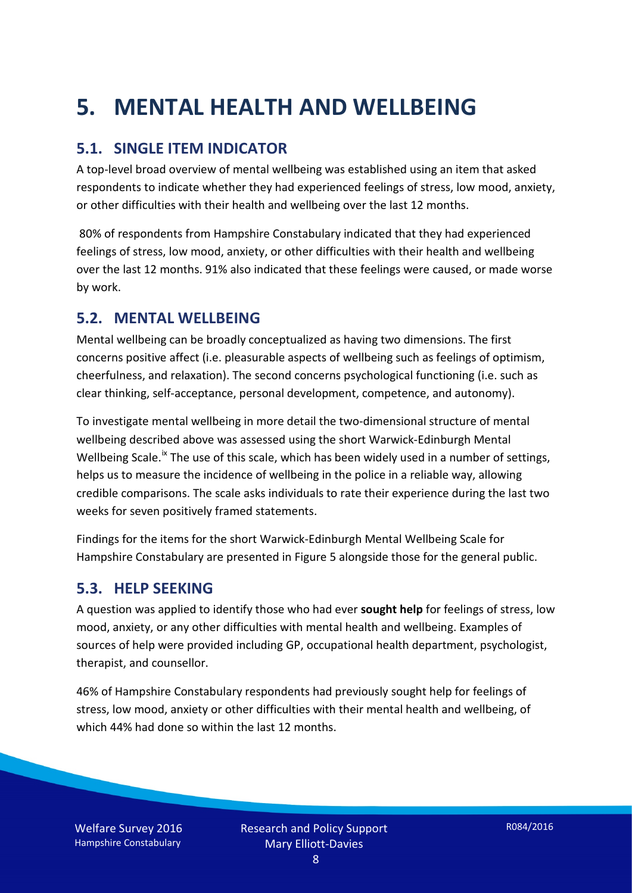# **5. MENTAL HEALTH AND WELLBEING**

#### **5.1. SINGLE ITEM INDICATOR**

A top-level broad overview of mental wellbeing was established using an item that asked respondents to indicate whether they had experienced feelings of stress, low mood, anxiety, or other difficulties with their health and wellbeing over the last 12 months.

80% of respondents from Hampshire Constabulary indicated that they had experienced feelings of stress, low mood, anxiety, or other difficulties with their health and wellbeing over the last 12 months. 91% also indicated that these feelings were caused, or made worse by work.

#### **5.2. MENTAL WELLBEING**

Mental wellbeing can be broadly conceptualized as having two dimensions. The first concerns positive affect (i.e. pleasurable aspects of wellbeing such as feelings of optimism, cheerfulness, and relaxation). The second concerns psychological functioning (i.e. such as clear thinking, self-acceptance, personal development, competence, and autonomy).

To investigate mental wellbeing in more detail the two-dimensional structure of mental wellbeing described above was assessed using the short Warwick-Edinburgh Mental Wellbeing Scale.<sup>[ix](#page-15-8)</sup> The use of this scale, which has been widely used in a number of settings, helps us to measure the incidence of wellbeing in the police in a reliable way, allowing credible comparisons. The scale asks individuals to rate their experience during the last two weeks for seven positively framed statements.

Findings for the items for the short Warwick-Edinburgh Mental Wellbeing Scale for Hampshire Constabulary are presented in Figure 5 alongside those for the general public.

#### **5.3. HELP SEEKING**

A question was applied to identify those who had ever **sought help** for feelings of stress, low mood, anxiety, or any other difficulties with mental health and wellbeing. Examples of sources of help were provided including GP, occupational health department, psychologist, therapist, and counsellor.

46% of Hampshire Constabulary respondents had previously sought help for feelings of stress, low mood, anxiety or other difficulties with their mental health and wellbeing, of which 44% had done so within the last 12 months.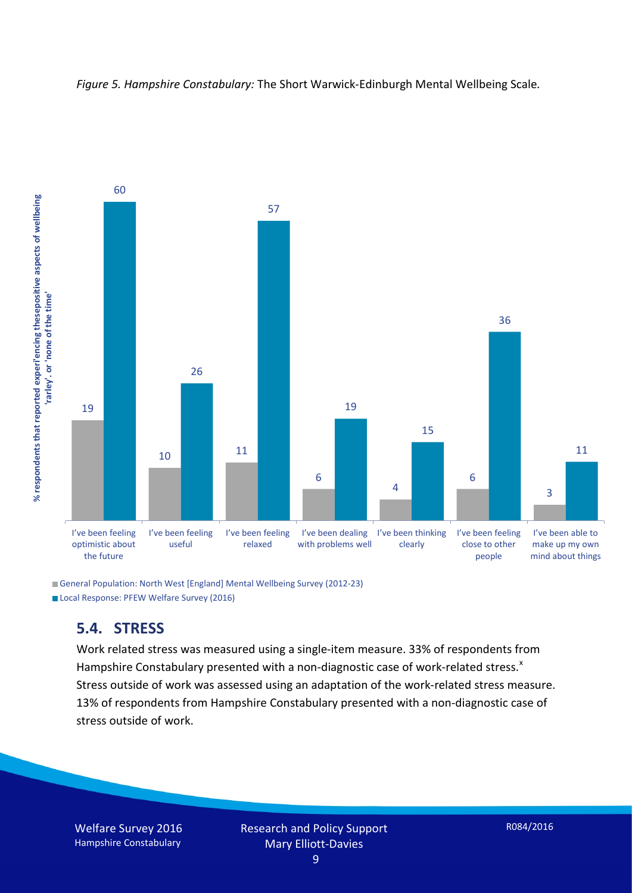



General Population: North West [England] Mental Wellbeing Survey (2012-23) Local Response: PFEW Welfare Survey (2016)

#### **5.4. STRESS**

Work related stress was measured using a single-item measure. 33% of respondents from Hampshire Constabulary presented with a non-diagnostic case of work-related stress. $x$ Stress outside of work was assessed using an adaptation of the work-related stress measure. 13% of respondents from Hampshire Constabulary presented with a non-diagnostic case of stress outside of work.

Welfare Survey 2016 Hampshire Constabulary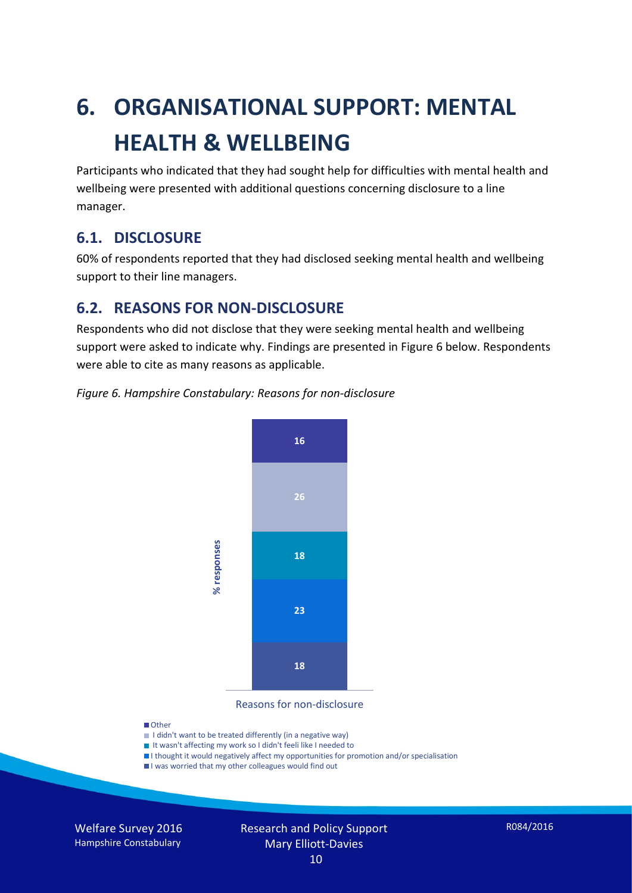# **6. ORGANISATIONAL SUPPORT: MENTAL HEALTH & WELLBEING**

Participants who indicated that they had sought help for difficulties with mental health and wellbeing were presented with additional questions concerning disclosure to a line manager.

#### **6.1. DISCLOSURE**

60% of respondents reported that they had disclosed seeking mental health and wellbeing support to their line managers.

#### **6.2. REASONS FOR NON-DISCLOSURE**

Respondents who did not disclose that they were seeking mental health and wellbeing support were asked to indicate why. Findings are presented in Figure 6 below. Respondents were able to cite as many reasons as applicable.





Reasons for non-disclosure

#### **D**Other

- I didn't want to be treated differently (in a negative way)
- I It wasn't affecting my work so I didn't feeli like I needed to
- I thought it would negatively affect my opportunities for promotion and/or specialisation
- I was worried that my other colleagues would find out

Welfare Survey 2016 Hampshire Constabulary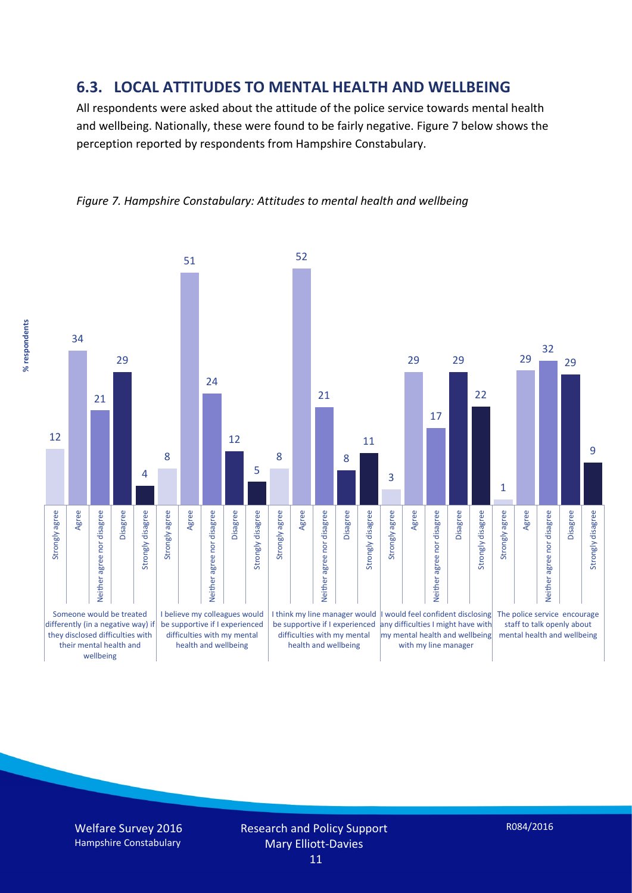#### **6.3. LOCAL ATTITUDES TO MENTAL HEALTH AND WELLBEING**

All respondents were asked about the attitude of the police service towards mental health and wellbeing. Nationally, these were found to be fairly negative. Figure 7 below shows the perception reported by respondents from Hampshire Constabulary.



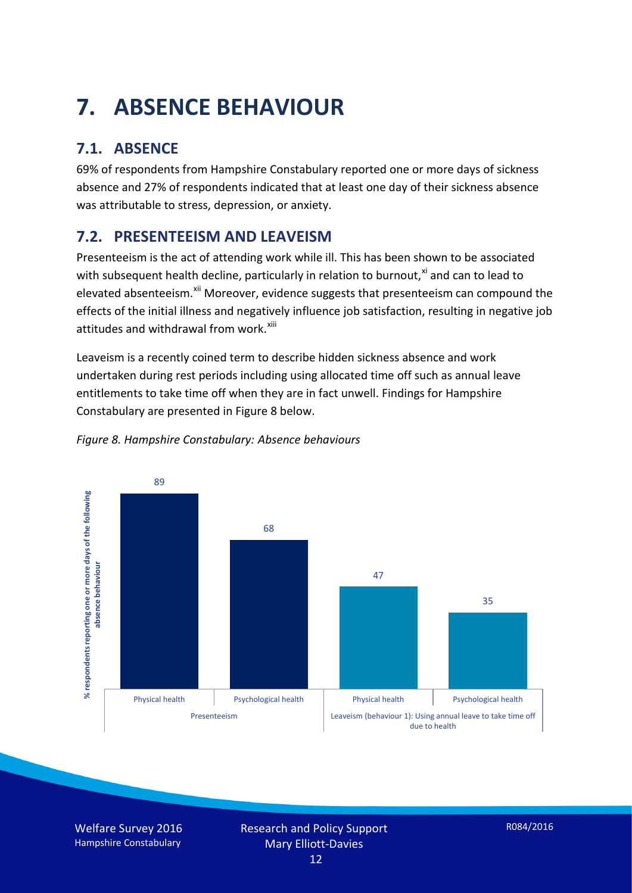# **7. ABSENCE BEHAVIOUR**

## **7.1. ABSENCE**

69% of respondents from Hampshire Constabulary reported one or more days of sickness absence and 27% of respondents indicated that at least one day of their sickness absence was attributable to stress, depression, or anxiety.

### **7.2. PRESENTEEISM AND LEAVEISM**

Presenteeism is the act of attending work while ill. This has been shown to be associated with subsequent health decline, particularly in relation to burnout, $x_i$  and can to lead to elevated absenteeism.<sup>[xii](#page-16-1)</sup> Moreover, evidence suggests that presenteeism can compound the effects of the initial illness and negatively influence job satisfaction, resulting in negative job attitudes and withdrawal from work.<sup>[xiii](#page-16-2)</sup>

Leaveism is a recently coined term to describe hidden sickness absence and work undertaken during rest periods including using allocated time off such as annual leave entitlements to take time off when they are in fact unwell. Findings for Hampshire Constabulary are presented in Figure 8 below.



#### *Figure 8. Hampshire Constabulary: Absence behaviours*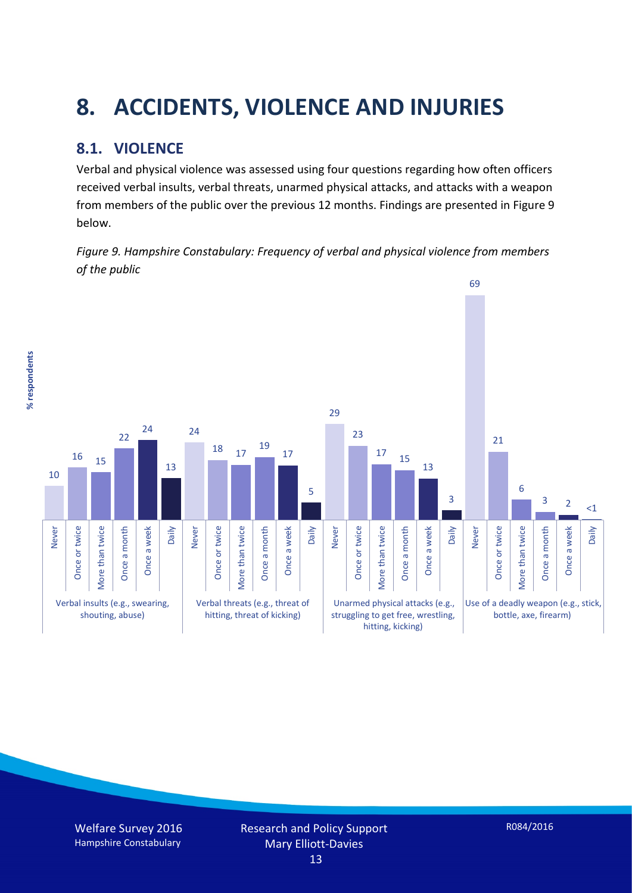# **8. ACCIDENTS, VIOLENCE AND INJURIES**

### **8.1. VIOLENCE**

Verbal and physical violence was assessed using four questions regarding how often officers received verbal insults, verbal threats, unarmed physical attacks, and attacks with a weapon from members of the public over the previous 12 months. Findings are presented in Figure 9 below.

*Figure 9. Hampshire Constabulary: Frequency of verbal and physical violence from members of the public*

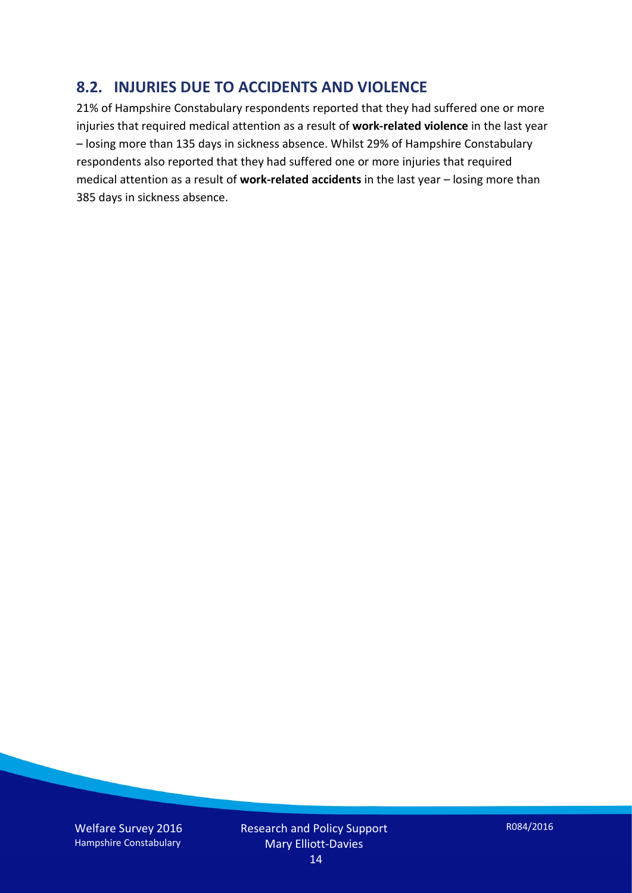#### **8.2. INJURIES DUE TO ACCIDENTS AND VIOLENCE**

21% of Hampshire Constabulary respondents reported that they had suffered one or more injuries that required medical attention as a result of **work-related violence** in the last year – losing more than 135 days in sickness absence. Whilst 29% of Hampshire Constabulary respondents also reported that they had suffered one or more injuries that required medical attention as a result of **work-related accidents** in the last year – losing more than 385 days in sickness absence.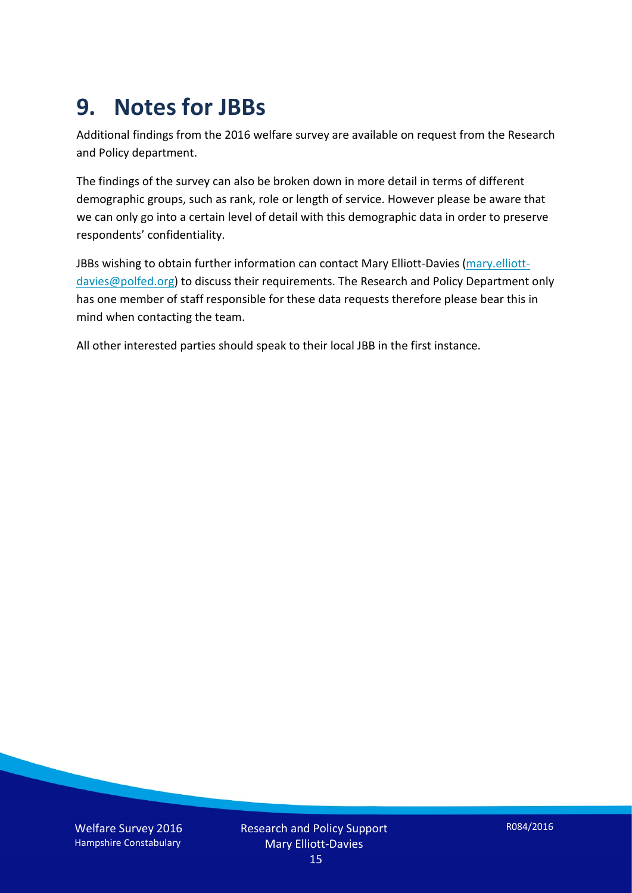## **9. Notes for JBBs**

Additional findings from the 2016 welfare survey are available on request from the Research and Policy department.

The findings of the survey can also be broken down in more detail in terms of different demographic groups, such as rank, role or length of service. However please be aware that we can only go into a certain level of detail with this demographic data in order to preserve respondents' confidentiality.

JBBs wishing to obtain further information can contact Mary Elliott-Davies [\(mary.elliott](mailto:mary.elliott-davies@polfed.org)[davies@polfed.org\)](mailto:mary.elliott-davies@polfed.org) to discuss their requirements. The Research and Policy Department only has one member of staff responsible for these data requests therefore please bear this in mind when contacting the team.

All other interested parties should speak to their local JBB in the first instance.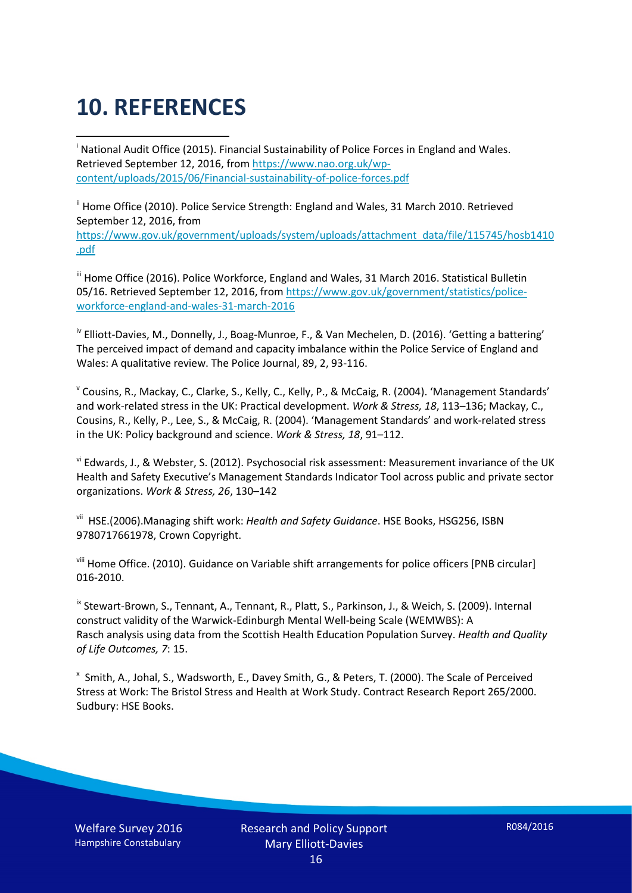# **10. REFERENCES**

<span id="page-15-0"></span>i National Audit Office (2015). Financial Sustainability of Police Forces in England and Wales. Retrieved September 12, 2016, fro[m https://www.nao.org.uk/wp](https://www.nao.org.uk/wp-content/uploads/2015/06/Financial-sustainability-of-police-forces.pdf)[content/uploads/2015/06/Financial-sustainability-of-police-forces.pdf](https://www.nao.org.uk/wp-content/uploads/2015/06/Financial-sustainability-of-police-forces.pdf)

<span id="page-15-1"></span><sup>ii</sup> Home Office (2010). Police Service Strength: England and Wales, 31 March 2010. Retrieved September 12, 2016, from [https://www.gov.uk/government/uploads/system/uploads/attachment\\_data/file/115745/hosb1410](https://www.gov.uk/government/uploads/system/uploads/attachment_data/file/115745/hosb1410.pdf) [.pdf](https://www.gov.uk/government/uploads/system/uploads/attachment_data/file/115745/hosb1410.pdf)

<span id="page-15-2"></span><sup>iii</sup> Home Office (2016). Police Workforce, England and Wales, 31 March 2016. Statistical Bulletin 05/16. Retrieved September 12, 2016, fro[m https://www.gov.uk/government/statistics/police](https://www.gov.uk/government/statistics/police-workforce-england-and-wales-31-march-2016)[workforce-england-and-wales-31-march-2016](https://www.gov.uk/government/statistics/police-workforce-england-and-wales-31-march-2016)

<span id="page-15-3"></span><sup>iv</sup> Elliott-Davies, M., Donnelly, J., Boag-Munroe, F., & Van Mechelen, D. (2016). 'Getting a battering' The perceived impact of demand and capacity imbalance within the Police Service of England and Wales: A qualitative review. The Police Journal, 89, 2, 93-116.

<span id="page-15-4"></span><sup>v</sup> Cousins, R., Mackay, C., Clarke, S., Kelly, C., Kelly, P., & McCaig, R. (2004). 'Management Standards' and work-related stress in the UK: Practical development. *Work & Stress, 18*, 113–136; Mackay, C., Cousins, R., Kelly, P., Lee, S., & McCaig, R. (2004). 'Management Standards' and work-related stress in the UK: Policy background and science. *Work & Stress, 18*, 91–112.

<span id="page-15-5"></span>vi Edwards, J., & Webster, S. (2012). Psychosocial risk assessment: Measurement invariance of the UK Health and Safety Executive's Management Standards Indicator Tool across public and private sector organizations. *Work & Stress, 26*, 130–142

<span id="page-15-6"></span>vii HSE.(2006).Managing shift work: *Health and Safety Guidance*. HSE Books, HSG256, ISBN 9780717661978, Crown Copyright.

<span id="page-15-7"></span>viii Home Office. (2010). Guidance on Variable shift arrangements for police officers [PNB circular] 016-2010.

<span id="page-15-8"></span><sup>ix</sup> Stewart-Brown, S., Tennant, A., Tennant, R., Platt, S., Parkinson, J., & Weich, S. (2009). Internal construct validity of the Warwick-Edinburgh Mental Well-being Scale (WEMWBS): A Rasch analysis using data from the Scottish Health Education Population Survey. *Health and Quality of Life Outcomes, 7*: 15.

<span id="page-15-9"></span>x Smith, A., Johal, S., Wadsworth, E., Davey Smith, G., & Peters, T. (2000). The Scale of Perceived Stress at Work: The Bristol Stress and Health at Work Study. Contract Research Report 265/2000. Sudbury: HSE Books.